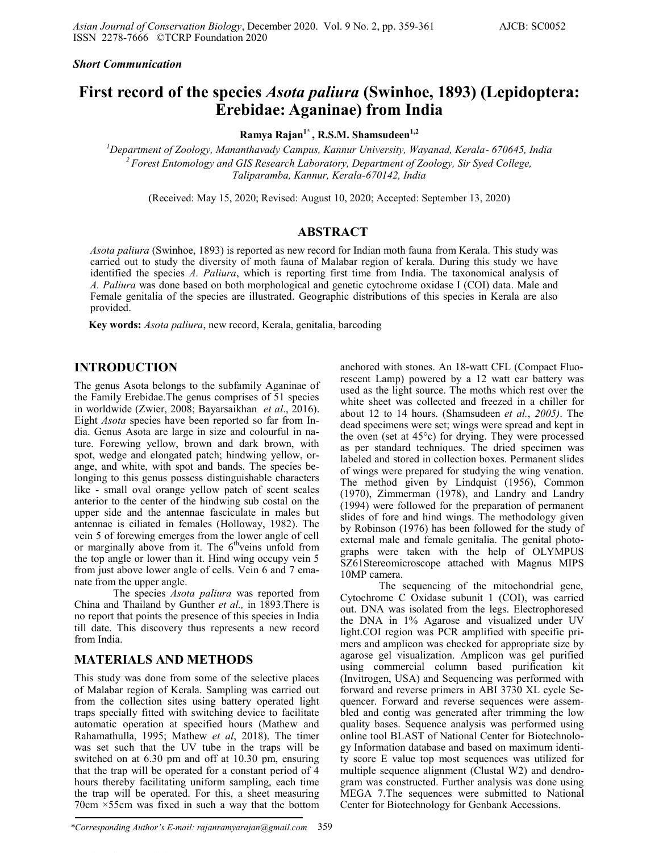*Short Communication*

# **First record of the species** *Asota paliura* **(Swinhoe, 1893) (Lepidoptera: Erebidae: Aganinae) from India**

**Ramya Rajan1\* , R.S.M. Shamsudeen1,2** 

*<sup>1</sup>Department of Zoology, Mananthavady Campus, Kannur University, Wayanad, Kerala- 670645, India <sup>2</sup>Forest Entomology and GIS Research Laboratory, Department of Zoology, Sir Syed College, Taliparamba, Kannur, Kerala-670142, India* 

(Received: May 15, 2020; Revised: August 10, 2020; Accepted: September 13, 2020)

### **ABSTRACT**

*Asota paliura* (Swinhoe, 1893) is reported as new record for Indian moth fauna from Kerala. This study was carried out to study the diversity of moth fauna of Malabar region of kerala. During this study we have identified the species *A. Paliura*, which is reporting first time from India. The taxonomical analysis of *A. Paliura* was done based on both morphological and genetic cytochrome oxidase I (COI) data. Male and Female genitalia of the species are illustrated. Geographic distributions of this species in Kerala are also provided.

**Key words:** *Asota paliura*, new record, Kerala, genitalia, barcoding

## **INTRODUCTION**

The genus Asota belongs to the subfamily Aganinae of the Family Erebidae.The genus comprises of 51 species in worldwide (Zwier, 2008; Bayarsaikhan *et al*., 2016). Eight *Asota* species have been reported so far from India. Genus Asota are large in size and colourful in nature. Forewing yellow, brown and dark brown, with spot, wedge and elongated patch; hindwing yellow, orange, and white, with spot and bands. The species belonging to this genus possess distinguishable characters like - small oval orange yellow patch of scent scales anterior to the center of the hindwing sub costal on the upper side and the antennae fasciculate in males but antennae is ciliated in females (Holloway, 1982). The vein 5 of forewing emerges from the lower angle of cell or marginally above from it. The  $6<sup>th</sup>$ veins unfold from the top angle or lower than it. Hind wing occupy vein 5 from just above lower angle of cells. Vein 6 and 7 emanate from the upper angle.

The species *Asota paliura* was reported from China and Thailand by Gunther *et al.,* in 1893.There is no report that points the presence of this species in India till date. This discovery thus represents a new record from India.

### **MATERIALS AND METHODS**

This study was done from some of the selective places of Malabar region of Kerala. Sampling was carried out from the collection sites using battery operated light traps specially fitted with switching device to facilitate automatic operation at specified hours (Mathew and Rahamathulla, 1995; Mathew *et al*, 2018). The timer was set such that the UV tube in the traps will be switched on at 6.30 pm and off at 10.30 pm, ensuring that the trap will be operated for a constant period of 4 hours thereby facilitating uniform sampling, each time the trap will be operated. For this, a sheet measuring 70cm ×55cm was fixed in such a way that the bottom

*\*Corresponding Author's E-mail: rajanramyarajan@gmail.com* 359

anchored with stones. An 18-watt CFL (Compact Fluorescent Lamp) powered by a 12 watt car battery was used as the light source. The moths which rest over the white sheet was collected and freezed in a chiller for about 12 to 14 hours. (Shamsudeen *et al.*, *2005)*. The dead specimens were set; wings were spread and kept in the oven (set at 45°c) for drying. They were processed as per standard techniques. The dried specimen was labeled and stored in collection boxes. Permanent slides of wings were prepared for studying the wing venation. The method given by Lindquist (1956), Common (1970), Zimmerman (1978), and Landry and Landry (1994) were followed for the preparation of permanent slides of fore and hind wings. The methodology given by Robinson (1976) has been followed for the study of external male and female genitalia. The genital photographs were taken with the help of OLYMPUS SZ61Stereomicroscope attached with Magnus MIPS 10MP camera.

The sequencing of the mitochondrial gene, Cytochrome C Oxidase subunit 1 (COI), was carried out. DNA was isolated from the legs. Electrophoresed the DNA in 1% Agarose and visualized under UV light.COI region was PCR amplified with specific primers and amplicon was checked for appropriate size by agarose gel visualization. Amplicon was gel purified using commercial column based purification kit (Invitrogen, USA) and Sequencing was performed with forward and reverse primers in ABI 3730 XL cycle Sequencer. Forward and reverse sequences were assembled and contig was generated after trimming the low quality bases. Sequence analysis was performed using online tool BLAST of National Center for Biotechnology Information database and based on maximum identity score E value top most sequences was utilized for multiple sequence alignment (Clustal W2) and dendrogram was constructed. Further analysis was done using MEGA 7.The sequences were submitted to National Center for Biotechnology for Genbank Accessions.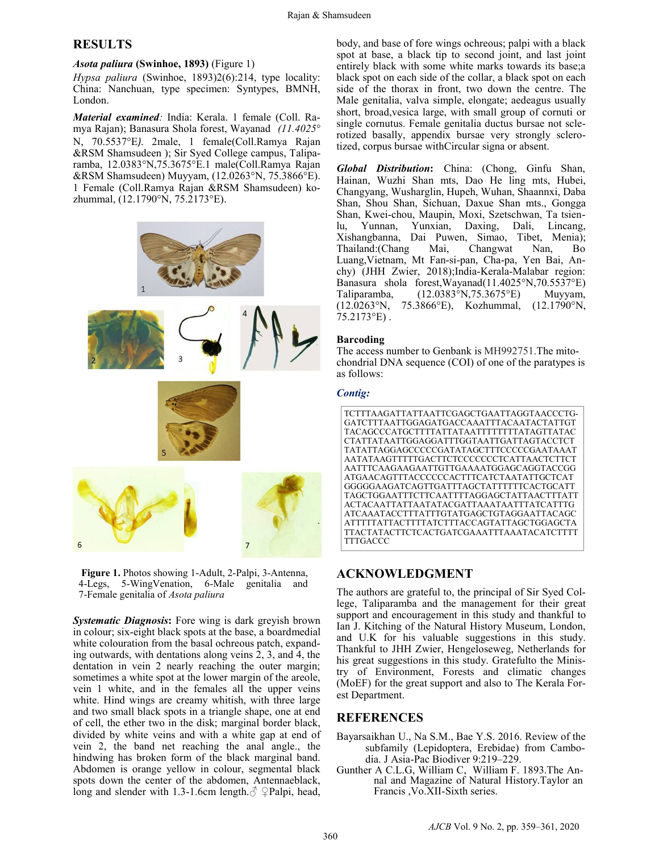### **RESULTS**

#### *Asota paliura* **(Swinhoe, 1893)** (Figure 1)

*Hypsa paliura* (Swinhoe, 1893)2(6):214, type locality: China: Nanchuan, type specimen: Syntypes, BMNH, London.

*Material examined:* India: Kerala. 1 female (Coll. Ramya Rajan); Banasura Shola forest, Wayanad *(11.4025*° N, 70.5537°E*)*. 2male, 1 female(Coll.Ramya Rajan &RSM Shamsudeen ); Sir Syed College campus, Taliparamba, 12.0383°N,75.3675°E.1 male(Coll.Ramya Rajan &RSM Shamsudeen) Muyyam, (12.0263°N, 75.3866°E). 1 Female (Coll.Ramya Rajan &RSM Shamsudeen) kozhummal, (12.1790°N, 75.2173°E).





*Systematic Diagnosis***:** Fore wing is dark greyish brown in colour; six-eight black spots at the base, a boardmedial white colouration from the basal ochreous patch, expanding outwards, with dentations along veins 2, 3, and 4, the dentation in vein 2 nearly reaching the outer margin; sometimes a white spot at the lower margin of the areole, vein 1 white, and in the females all the upper veins white. Hind wings are creamy whitish, with three large and two small black spots in a triangle shape, one at end of cell, the ether two in the disk; marginal border black, divided by white veins and with a white gap at end of vein 2, the band net reaching the anal angle., the hindwing has broken form of the black marginal band. Abdomen is orange yellow in colour, segmental black spots down the center of the abdomen, Antennaeblack, long and slender with 1.3-1.6cm length. $\circ$   $\circ$ Palpi, head,

body, and base of fore wings ochreous; palpi with a black spot at base, a black tip to second joint, and last joint entirely black with some white marks towards its base;a black spot on each side of the collar, a black spot on each side of the thorax in front, two down the centre. The Male genitalia, valva simple, elongate; aedeagus usually short, broad,vesica large, with small group of cornuti or single cornutus. Female genitalia ductus bursae not sclerotized basally, appendix bursae very strongly sclerotized, corpus bursae withCircular signa or absent.

*Global Distribution***:** China: (Chong, Ginfu Shan, Hainan, Wuzhi Shan mts, Dao He ling mts, Hubei, Changyang, Wusharglin, Hupeh, Wuhan, Shaannxi, Daba Shan, Shou Shan, Sichuan, Daxue Shan mts., Gongga Shan, Kwei-chou, Maupin, Moxi, Szetschwan, Ta tsienlu, Yunnan, Yunxian, Daxing, Dali, Lincang, Xishangbanna, Dai Puwen, Simao, Tibet, Menia); Thailand:(Chang Mai, Changwat Nan, Bo Luang,Vietnam, Mt Fan-si-pan, Cha-pa, Yen Bai, Anchy) (JHH Zwier, 2018);India-Kerala-Malabar region: Banasura shola forest,Wayanad(11.4025°N,70.5537°E) Taliparamba, (12.0383°N,75.3675°E) Muyyam, (12.0263°N, 75.3866°E), Kozhummal, (12.1790°N,  $75.2173$ °E).

#### **Barcoding**

The access number to Genbank is MH992751.The mitochondrial DNA sequence (COI) of one of the paratypes is as follows:

#### *Contig:*



### **ACKNOWLEDGMENT**

The authors are grateful to, the principal of Sir Syed College, Taliparamba and the management for their great support and encouragement in this study and thankful to Ian J. Kitching of the Natural History Museum, London, and U.K for his valuable suggestions in this study. Thankful to JHH Zwier, Hengeloseweg, Netherlands for his great suggestions in this study. Gratefulto the Ministry of Environment, Forests and climatic changes (MoEF) for the great support and also to The Kerala Forest Department.

### **REFERENCES**

- Bayarsaikhan U., Na S.M., Bae Y.S. 2016. Review of the subfamily (Lepidoptera, Erebidae) from Cambodia. J Asia-Pac Biodiver 9:219–229.
- Gunther A C.L.G, William C, William F. 1893.The Annal and Magazine of Natural History.Taylor an Francis ,Vo.XII-Sixth series.